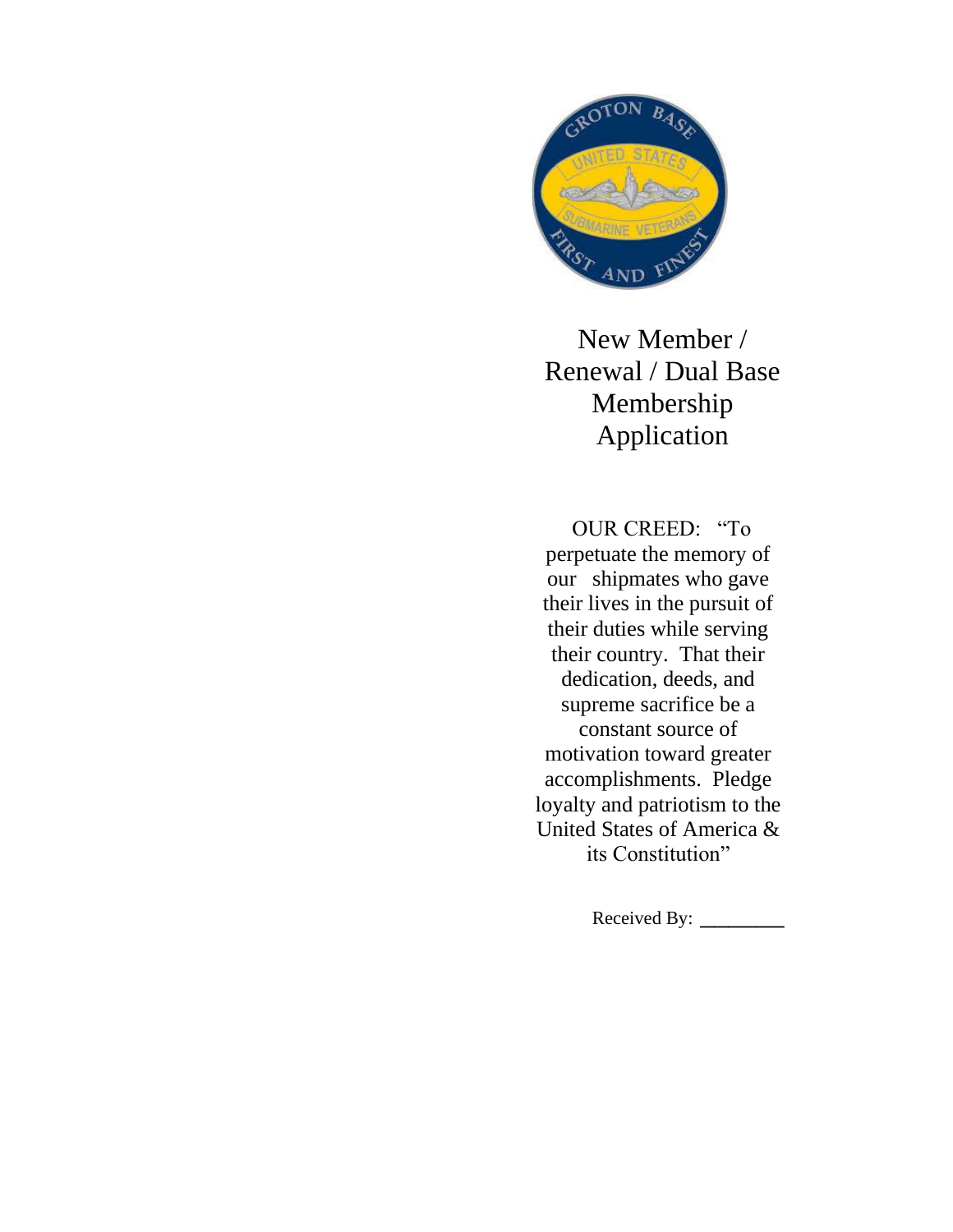

New Member / Renewal / Dual Base Membership Application

OUR CREED: "To perpetuate the memory of our shipmates who gave their lives in the pursuit of their duties while serving their country. That their dedication, deeds, and supreme sacrifice be a constant source of motivation toward greater accomplishments. Pledge loyalty and patriotism to the United States of America & its Constitution"

Received By: \_\_\_\_\_\_\_\_\_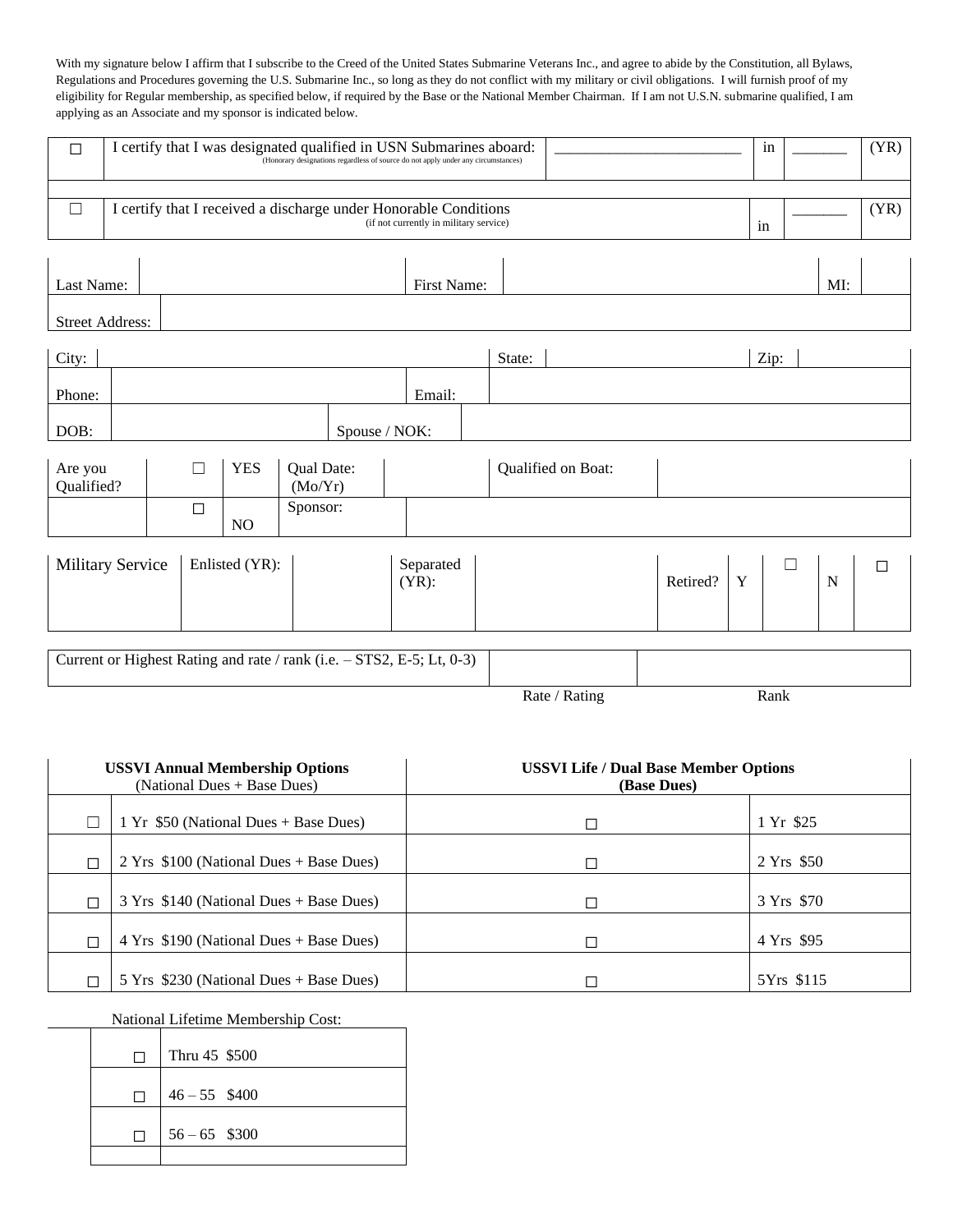With my signature below I affirm that I subscribe to the Creed of the United States Submarine Veterans Inc., and agree to abide by the Constitution, all Bylaws, Regulations and Procedures governing the U.S. Submarine Inc., so long as they do not conflict with my military or civil obligations. I will furnish proof of my eligibility for Regular membership, as specified below, if required by the Base or the National Member Chairman. If I am not U.S.N. submarine qualified, I am applying as an Associate and my sponsor is indicated below.

| $\Box$                                    | I certify that I was designated qualified in USN Submarines aboard:<br>(Honorary designations regardless of source do not apply under any circumstances) |  |        |                |                       |               |  |             |          |                    |   |             | in |      | (YR) |      |
|-------------------------------------------|----------------------------------------------------------------------------------------------------------------------------------------------------------|--|--------|----------------|-----------------------|---------------|--|-------------|----------|--------------------|---|-------------|----|------|------|------|
| $\Box$                                    | I certify that I received a discharge under Honorable Conditions<br>(if not currently in military service)                                               |  |        |                |                       |               |  |             |          |                    |   |             | in |      |      | (YR) |
| Last Name:                                |                                                                                                                                                          |  |        |                |                       |               |  | First Name: |          |                    |   |             |    |      | MI:  |      |
| <b>Street Address:</b>                    |                                                                                                                                                          |  |        |                |                       |               |  |             |          |                    |   |             |    |      |      |      |
| City:                                     |                                                                                                                                                          |  |        |                |                       |               |  |             | State:   |                    |   |             |    | Zip: |      |      |
| Phone:                                    |                                                                                                                                                          |  |        |                |                       |               |  | Email:      |          |                    |   |             |    |      |      |      |
| DOB:                                      |                                                                                                                                                          |  |        |                |                       | Spouse / NOK: |  |             |          |                    |   |             |    |      |      |      |
| Are you<br>Qualified?                     |                                                                                                                                                          |  |        | <b>YES</b>     | Qual Date:<br>(Mo/Yr) |               |  |             |          | Qualified on Boat: |   |             |    |      |      |      |
|                                           |                                                                                                                                                          |  | $\Box$ | N <sub>O</sub> | Sponsor:              |               |  |             |          |                    |   |             |    |      |      |      |
| Enlisted (YR):<br><b>Military Service</b> |                                                                                                                                                          |  |        | $(YR)$ :       | Separated             |               |  |             | Retired? | Y                  | П | $\mathbf N$ | □  |      |      |      |
|                                           | Current or Highest Rating and rate / rank (i.e. - STS2, E-5; Lt, 0-3)                                                                                    |  |        |                |                       |               |  |             |          |                    |   |             |    |      |      |      |
|                                           |                                                                                                                                                          |  |        |                |                       |               |  |             |          | Rate / Rating      |   |             |    | Rank |      |      |

|   | <b>USSVI Annual Membership Options</b><br>(National Dues + Base Dues) | <b>USSVI Life / Dual Base Member Options</b><br>(Base Dues) |            |  |  |  |
|---|-----------------------------------------------------------------------|-------------------------------------------------------------|------------|--|--|--|
|   | 1 Yr \$50 (National Dues + Base Dues)                                 |                                                             | 1 Yr \$25  |  |  |  |
| ┑ | $2 Yrs$ \$100 (National Dues + Base Dues)                             |                                                             | 2 Yrs \$50 |  |  |  |
| ⊓ | $3 Yrs$ \$140 (National Dues + Base Dues)                             |                                                             | 3 Yrs \$70 |  |  |  |
| П | $4 Yrs$ \$190 (National Dues + Base Dues)                             |                                                             | 4 Yrs \$95 |  |  |  |
|   | 5 Yrs \$230 (National Dues + Base Dues)                               |                                                             | 5Yrs \$115 |  |  |  |

National Lifetime Membership Cost:

| П | Thru 45 \$500   |
|---|-----------------|
| П | $46 - 55$ \$400 |
| П | $56 - 65$ \$300 |
|   |                 |